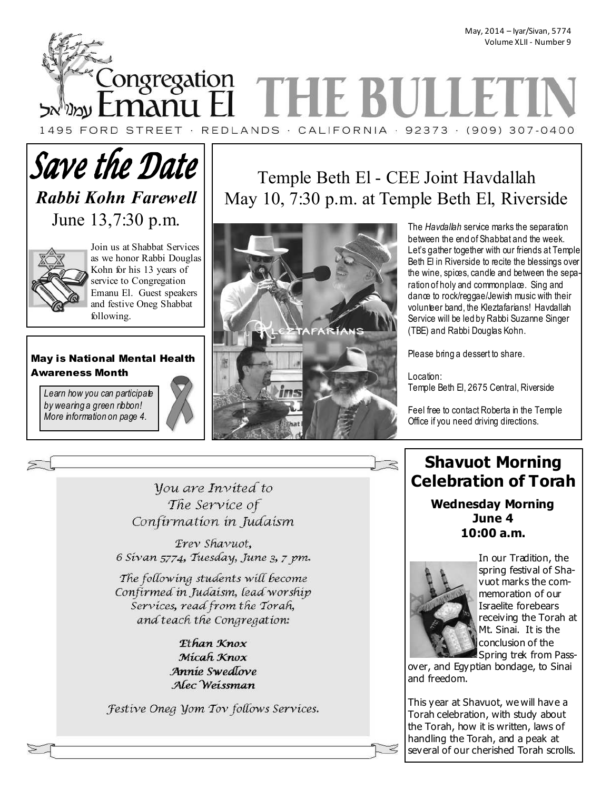May, 2014 – Iyar/Sivan, 5774 Volume XLII - Number 9

Congregation THE BULL 1495 FORD STREET · REDLANDS · CALIFORNIA · 92373 · (909) 307-0400

# **Save the Date** *Rabbi Kohn Farewell*  June 13,7:30 p.m.



Join us at Shabbat Services as we honor Rabbi Douglas Kohn for his 13 years of service to Congregation Emanu El. Guest speakers and festive Oneg Shabbat following.

## May is National Mental Health Awareness Month

*Learn how you can participate by wearing a green ribbon! More information on page 4.* 

# Temple Beth El - CEE Joint Havdallah May 10, 7:30 p.m. at Temple Beth El, Riverside



The *Havdallah* service marks the separation between the end of Shabbat and the week. Let's gather together with our friends at Temple Beth El in Riverside to recite the blessings over the wine, spices, candle and between the separation of holy and commonplace. Sing and dance to rock/reggae/Jewish music with their volunteer band, the Kleztafarians! Havdallah Service will be led by Rabbi Suzanne Singer (TBE) and Rabbi Douglas Kohn.

Please bring a dessert to share.

Location: Temple Beth El, 2675 Central, Riverside

Feel free to contact Roberta in the Temple Office if you need driving directions.

*Vou are Invited to* The Service of Confirmation in Judaism

Erev Shavuot, 6 Sivan 5774, Tuesday, June 3, 7 pm.

The following students will become Confirmed in Judaism, lead worship Services, read from the Torah, and teach the Congregation:

> Ethan Knox Micah Knox Annie Swedlove Alec Weissman

Festive Oneg Yom Tov follows Services.

# **Shavuot Morning Celebration of Torah**

**Wednesday Morning June 4 10:00 a.m.** 



In our Tradition, the spring festival of Shavuot marks the commemoration of our Israelite forebears receiving the Torah at Mt. Sinai. It is the conclusion of the Spring trek from Pass-

over, and Egyptian bondage, to Sinai and freedom.

This year at Shavuot, we will have a Torah celebration, with study about the Torah, how it is written, laws of handling the Torah, and a peak at several of our cherished Torah scrolls.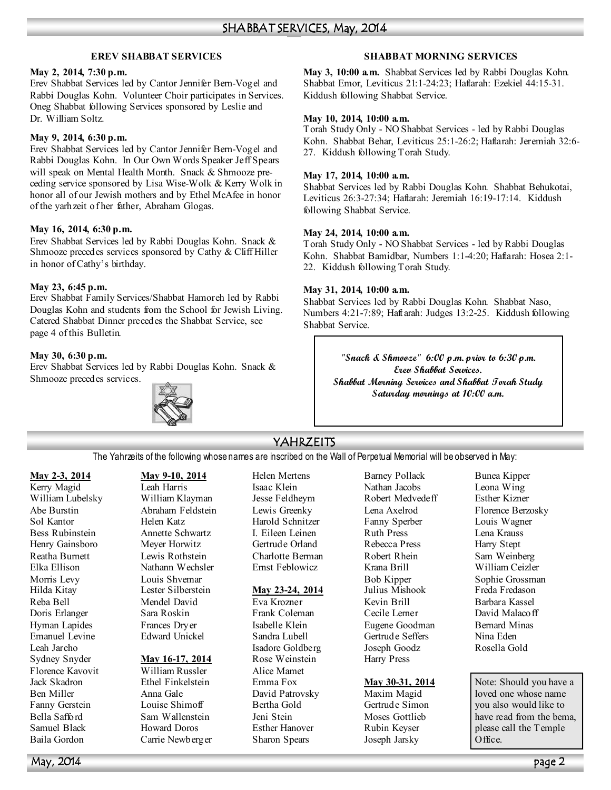## **EREV SHABBAT SERVICES**

#### **May 2, 2014, 7:30 p.m.**

Erev Shabbat Services led by Cantor Jennifer Bern-Vogel and Rabbi Douglas Kohn. Volunteer Choir participates in Services. Oneg Shabbat following Services sponsored by Leslie and Dr. William Soltz.

### **May 9, 2014, 6:30 p.m.**

Erev Shabbat Services led by Cantor Jennifer Bern-Vogel and Rabbi Douglas Kohn. In Our Own Words Speaker Jeff Spears will speak on Mental Health Month. Snack & Shmooze preceding service sponsored by Lisa Wise-Wolk & Kerry Wolk in honor all of our Jewish mothers and by Ethel McAfee in honor of the yarhzeit of her father, Abraham Glogas.

## **May 16, 2014, 6:30 p.m.**

Erev Shabbat Services led by Rabbi Douglas Kohn. Snack & Shmooze precedes services sponsored by Cathy & Cliff Hiller in honor of Cathy's birthday.

#### **May 23, 6:45 p.m.**

Erev Shabbat Family Services/Shabbat Hamoreh led by Rabbi Douglas Kohn and students from the School for Jewish Living. Catered Shabbat Dinner precedes the Shabbat Service, see page 4 of this Bulletin.

### **May 30, 6:30 p.m.**

Erev Shabbat Services led by Rabbi Douglas Kohn. Snack & Shmooze precedes services.



## **SHABBAT MORNING SERVICES**

**May 3, 10:00 a.m.** Shabbat Services led by Rabbi Douglas Kohn. Shabbat Emor, Leviticus 21:1-24:23; Haftarah: Ezekiel 44:15-31. Kiddush following Shabbat Service.

#### **May 10, 2014, 10:00 a.m.**

Torah Study Only - NO Shabbat Services - led by Rabbi Douglas Kohn. Shabbat Behar, Leviticus 25:1-26:2; Haftarah: Jeremiah 32:6- 27. Kiddush following Torah Study.

#### **May 17, 2014, 10:00 a.m.**

Shabbat Services led by Rabbi Douglas Kohn. Shabbat Behukotai, Leviticus 26:3-27:34; Haftarah: Jeremiah 16:19-17:14. Kiddush following Shabbat Service.

#### **May 24, 2014, 10:00 a.m.**

Torah Study Only - NO Shabbat Services - led by Rabbi Douglas Kohn. Shabbat Bamidbar, Numbers 1:1-4:20; Haftarah: Hosea 2:1- 22. Kiddush following Torah Study.

### **May 31, 2014, 10:00 a.m.**

Shabbat Services led by Rabbi Douglas Kohn. Shabbat Naso, Numbers 4:21-7:89; Haftarah: Judges 13:2-25. Kiddush following Shabbat Service.

> **"Snack & Shmooze" 6:00 p.m. prior to 6:30 p.m. Erev Shabbat Services. Shabbat Morning Services and Shabbat Torah Study Saturday mornings at 10:00 a.m.**

## YAHRZEITS

The Yahrzeits of the following whose names are inscribed on the Wall of Perpetual Memorial will be observed in May:

## **May 2-3, 2014**

Kerry Magid William Lubelsky Abe Burstin Sol Kantor Bess Rubinstein Henry Gainsboro Reatha Burnett Elka Ellison Morris Levy Hilda Kitay Reba Bell Doris Erlanger Hyman Lapides Emanuel Levine Leah Jarcho Sydney Snyder Florence Kavovit Jack Skadron Ben Miller Fanny Gerstein Bella Safford Samuel Black Baila Gordon

#### **May 9-10, 2014** Leah Harris

William Klayman Abraham Feldstein Helen Katz Annette Schwartz Meyer Horwitz Lewis Rothstein Nathann Wechsler Louis Shvemar Lester Silberstein Mendel David Sara Roskin Frances Dryer Edward Unickel

#### **May 16-17, 2014**

William Russler Ethel Finkelstein Anna Gale Louise Shimoff Sam Wallenstein Howard Doros Carrie Newberger Helen Mertens Isaac Klein Jesse Feldheym Lewis Greenky Harold Schnitzer I. Eileen Leinen Gertrude Orland Charlotte Berman Ernst Feblowicz

#### **May 23-24, 2014**

Eva Krozner Frank Coleman Isabelle Klein Sandra Lubell Isadore Goldberg Rose Weinstein Alice Mamet Emma Fox David Patrovsky Bertha Gold Jeni Stein Esther Hanover Sharon Spears

Barney Pollack Nathan Jacobs Robert Medvedeff Lena Axelrod Fanny Sperber Ruth Press Rebecca Press Robert Rhein Krana Brill Bob Kipper Julius Mishook Kevin Brill Cecile Lerner Eugene Goodman Gertrude Seffers Joseph Goodz Harry Press

#### **May 30-31, 2014**

Maxim Magid Gertrude Simon Moses Gottlieb Rubin Keyser Joseph Jarsky

Bunea Kipper Leona Wing Esther Kizner Florence Berzosky Louis Wagner Lena Krauss Harry Stept Sam Weinberg William Ceizler Sophie Grossman Freda Fredason Barbara Kassel David Malacoff Bernard Minas Nina Eden Rosella Gold

Note: Should you have a loved one whose name you also would like to have read from the bema, please call the Temple Office.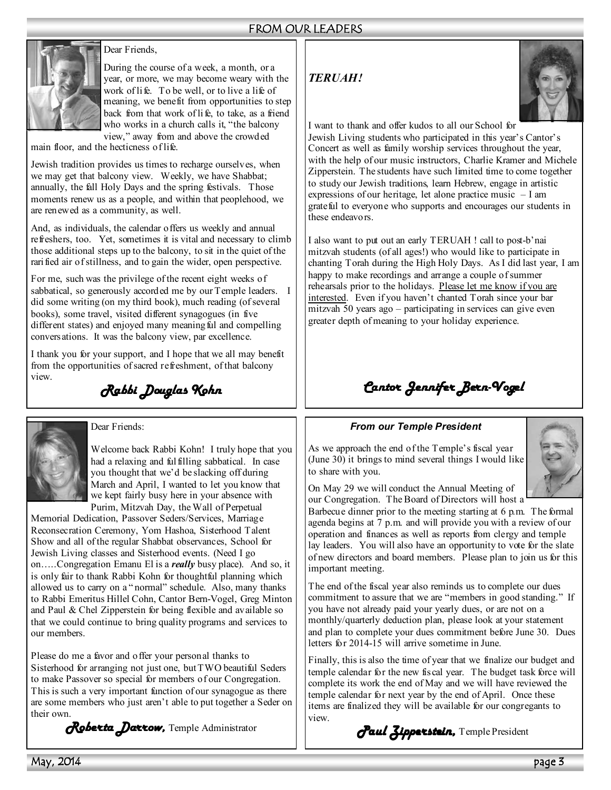## FROM OUR LEADERS



## Dear Friends,

During the course of a week, a month, or a year, or more, we may become weary with the work of life. To be well, or to live a life of meaning, we benefit from opportunities to step back from that work of life, to take, as a friend who works in a church calls it, "the balcony view," away from and above the crowded

main floor, and the hecticness of life.

Jewish tradition provides us times to recharge ourselves, when we may get that balcony view. Weekly, we have Shabbat; annually, the fall Holy Days and the spring festivals. Those moments renew us as a people, and within that peoplehood, we are renewed as a community, as well.

And, as individuals, the calendar offers us weekly and annual refreshers, too. Yet, sometimes it is vital and necessary to climb those additional steps up to the balcony, to sit in the quiet of the rarified air of stillness, and to gain the wider, open perspective.

For me, such was the privilege of the recent eight weeks of sabbatical, so generously accorded me by our Temple leaders. I did some writing (on my third book), much reading (of several books), some travel, visited different synagogues (in five different states) and enjoyed many meaning ful and compelling conversations. It was the balcony view, par excellence.

I thank you for your support, and I hope that we all may benefit from the opportunities of sacred refreshment, of that balcony view.

*Rabbi Douglas Kohn Rabbi Douglas Kohn* 



Dear Friends:

Welcome back Rabbi Kohn! I truly hope that you had a relaxing and fulfilling sabbatical. In case you thought that we'd be slacking off during March and April, I wanted to let you know that we kept fairly busy here in your absence with Purim, Mitzvah Day, the Wall of Perpetual

Memorial Dedication, Passover Seders/Services, Marriage Reconsecration Ceremony, Yom Hashoa, Sisterhood Talent Show and all of the regular Shabbat observances, School for Jewish Living classes and Sisterhood events. (Need I go on…..Congregation Emanu El is a *really* busy place). And so, it is only fair to thank Rabbi Kohn for thoughtful planning which allowed us to carry on a " normal" schedule. Also, many thanks to Rabbi Emeritus Hillel Cohn, Cantor Bern-Vogel, Greg Minton and Paul & Chel Zipperstein for being flexible and available so that we could continue to bring quality programs and services to our members.

Please do me a favor and offer your personal thanks to Sisterhood for arranging not just one, but TWO beautiful Seders to make Passover so special for members of our Congregation. This is such a very important function of our synagogue as there are some members who just aren't able to put together a Seder on their own.

*Roberta Darrow,* Temple Administrator

## *TERUAH!*



I want to thank and offer kudos to all our School for

Jewish Living students who participated in this year's Cantor's Concert as well as family worship services throughout the year, with the help of our music instructors, Charlie Kramer and Michele Zipperstein. The students have such limited time to come together to study our Jewish traditions, learn Hebrew, engage in artistic expressions of our heritage, let alone practice music – I am grateful to everyone who supports and encourages our students in these endeavors.

I also want to put out an early TERUAH ! call to post-b'nai mitzvah students (of all ages!) who would like to participate in chanting Torah during the High Holy Days. As I did last year, I am happy to make recordings and arrange a couple of summer rehearsals prior to the holidays. Please let me know if you are interested. Even if you haven't chanted Torah since your bar mitzvah 50 years ago – participating in services can give even greater depth of meaning to your holiday experience.

# *Cantor Jennifer Bern- Cantor Jennifer Bern-Vogel*

## *From our Temple President*

As we approach the end of the Temple's fiscal year (June 30) it brings to mind several things I would like to share with you.



On May 29 we will conduct the Annual Meeting of our Congregation. The Board of Directors will host a

Barbecue dinner prior to the meeting starting at 6 p.m. The formal agenda begins at 7 p.m. and will provide you with a review of our operation and finances as well as reports from clergy and temple lay leaders. You will also have an opportunity to vote for the slate of new directors and board members. Please plan to join us for this important meeting.

The end of the fiscal year also reminds us to complete our dues commitment to assure that we are "members in good standing." If you have not already paid your yearly dues, or are not on a monthly/quarterly deduction plan, please look at your statement and plan to complete your dues commitment before June 30. Dues letters for 2014-15 will arrive sometime in June.

Finally, this is also the time of year that we finalize our budget and temple calendar for the new fiscal year. The budget task force will complete its work the end of May and we will have reviewed the temple calendar for next year by the end of April. Once these items are finalized they will be available for our congregants to view.

*Paul Zipperstein,* Temple President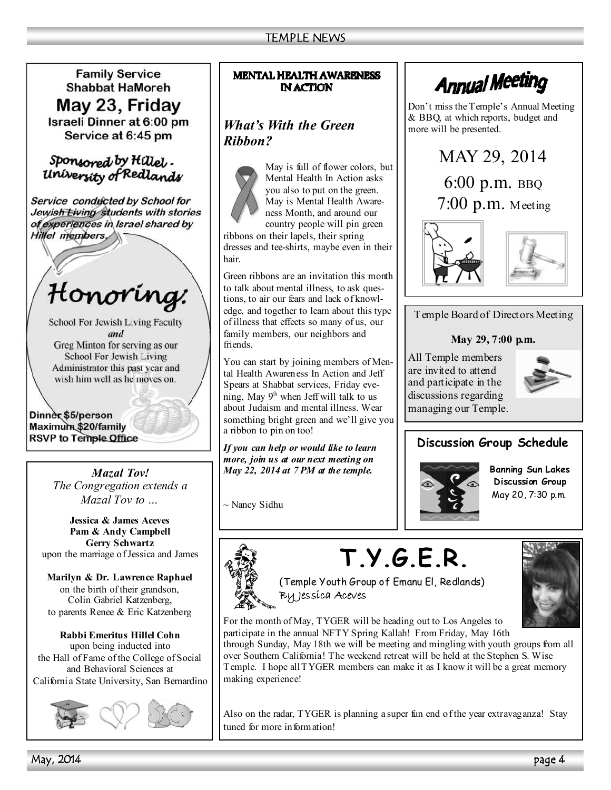**Family Service Shabbat HaMoreh** May 23, Friday Israeli Dinner at 6:00 pm Service at 6:45 pm

## Sponsored by Hillel. University of Redlands

Service conducted by School for Jewish Living students with stories of experiences in Israel shared by Hillel members,

Honoring:

**School For Jewish Living Faculty** and Greg Minton for serving as our **School For Jewish Living** 

Administrator this past year and wish him well as he moves on.

Dinner \$5/person Maximum \$20/family **RSVP to Temple Office** 

> *Mazal Tov! The Congregation extends a Mazal Tov to …*

**Jessica & James Aceves Pam & Andy Campbell Gerry Schwartz**  upon the marriage of Jessica and James

**Marilyn & Dr. Lawrence Raphael**  on the birth of their grandson, Colin Gabriel Katzenberg, to parents Renee & Eric Katzenberg

**Rabbi Emeritus Hillel Cohn**  upon being inducted into the Hall of Fame of the College of Social and Behavioral Sciences at California State University, San Bernardino



## **MENTAL HEALTH AWARENESS IN ACTION**

# *What's With the Green Ribbon?*



May is full of flower colors, but Mental Health In Action asks you also to put on the green. May is Mental Health Awareness Month, and around our country people will pin green

ribbons on their lapels, their spring dresses and tee-shirts, maybe even in their hair.

Green ribbons are an invitation this month to talk about mental illness, to ask questions, to air our fears and lack of knowledge, and together to learn about this type of illness that effects so many of us, our family members, our neighbors and friends.

You can start by joining members of Mental Health Awareness In Action and Jeff Spears at Shabbat services, Friday evening, May  $9<sup>h</sup>$  when Jeff will talk to us about Judaism and mental illness. Wear something bright green and we'll give you a ribbon to pin on too!

*If you can help or would like to learn more, join us at our next meeting on May 22, 2014 at 7 PM at the temple.* 

~ Nancy Sidhu



Don't miss the Temple's Annual Meeting & BBQ, at which reports, budget and more will be presented.







Temple Board of Directors Meeting

## **May 29, 7:00 p.m.**

All Temple members are invited to attend and participate in the discussions regarding managing our Temple.



# **Discussion Group Schedule**



**Banning Sun Lakes Discussion Group**  May 20, 7:30 p.m.

# **T.Y.G.E.R.**



(Temple Youth Group of Emanu El, Redlands) By Jessica Aceves

For the month of May, TYGER will be heading out to Los Angeles to participate in the annual NFTY Spring Kallah! From Friday, May 16th

through Sunday, May 18th we will be meeting and mingling with youth groups from all over Southern California! The weekend retreat will be held at the Stephen S. Wise Temple. I hope all TYGER members can make it as I know it will be a great memory making experience!

Also on the radar, TYGER is planning a super fun end of the year extravaganza! Stay tuned for more information!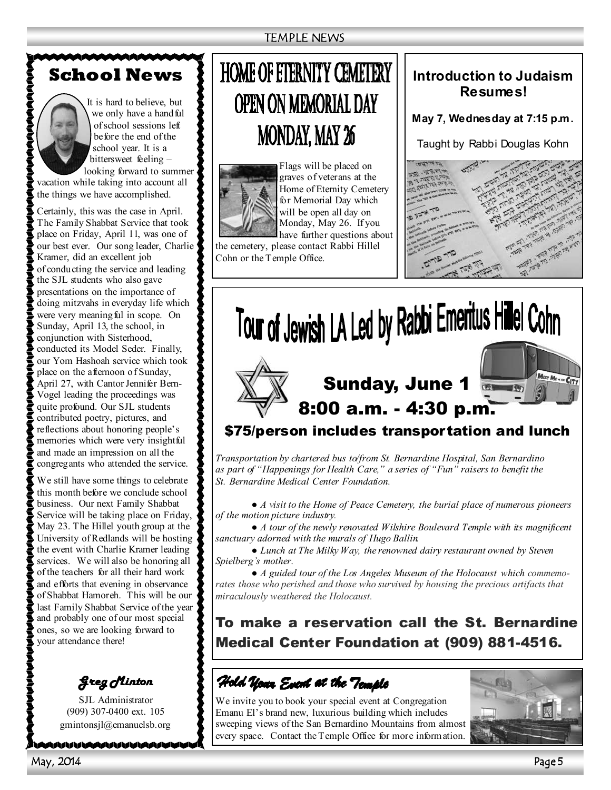# **School News**



It is hard to believe, but we only have a handful of school sessions left before the end of the school year. It is a bittersweet feeling –

looking forward to summer vacation while taking into account all the things we have accomplished.

Certainly, this was the case in April. The Family Shabbat Service that took place on Friday, April 11, was one of our best ever. Our song leader, Charlie Kramer, did an excellent job of conducting the service and leading the SJL students who also gave presentations on the importance of doing mitzvahs in everyday life which were very meaning ful in scope. On Sunday, April 13, the school, in conjunction with Sisterhood, conducted its Model Seder. Finally, our Yom Hashoah service which took place on the afternoon of Sunday, April 27, with Cantor Jennifer Bern-Vogel leading the proceedings was quite profound. Our SJL students contributed poetry, pictures, and reflections about honoring people's memories which were very insightful and made an impression on all the congregants who attended the service.

your attendance there! We still have some things to celebrate this month before we conclude school business. Our next Family Shabbat Service will be taking place on Friday, May 23. The Hillel youth group at the University of Redlands will be hosting the event with Charlie Kramer leading services. We will also be honoring all of the teachers for all their hard work and efforts that evening in observance of Shabbat Hamoreh. This will be our last Family Shabbat Service of the year and probably one of our most special ones, so we are looking forward to

All Temple members are invited to *Greg Minton Greg Minton* 

 $\ddot{\phantom{a}}$  $(909)$  307-0400 ext. 105  $\epsilon$  gmintonsjl@emanuelsb.org SJL Administrator

**MAAAAAAAAAAAAAAD** 

# **HOME OF ETERNITY CEMETERY OPEN ON MEMORIAL DAY MONDAY, MAY 26**



Flags will be placed on graves of veterans at the Home of Eternity Cemetery for Memorial Day which will be open all day on Monday, May 26. If you have further questions about

the cemetery, please contact Rabbi Hillel Cohn or the Temple Office.

## **Introduction to Judaism Resumes!**

**May 7, Wednesday at 7:15 p.m.** 

Taught by Rabbi Douglas Kohn





## *Transportation by chartered bus to/from St. Bernardine Hospital, San Bernardino as part of "Happenings for Health Care," a series of "Fun" raisers to benefit the St. Bernardine Medical Center Foundation.*

*● A visit to the Home of Peace Cemetery, the burial place of numerous pioneers of the motion picture industry.* 

*● A tour of the newly renovated Wilshire Boulevard Temple with its magnificent sanctuary adorned with the murals of Hugo Ballin.* 

*● Lunch at The Milky Way, the renowned dairy restaurant owned by Steven Spielberg's mother.* 

*● A guided tour of the Los Angeles Museum of the Holocaust which commemorates those who perished and those who survived by housing the precious artifacts that miraculously weathered the Holocaust.* 

To make a reservation call the St. Bernardine Medical Center Foundation at (909) 881-4516.

Hold Your Event at the Temple

We invite you to book your special event at Congregation Emanu El's brand new, luxurious building which includes sweeping views of the San Bernardino Mountains from almost every space. Contact the Temple Office for more information.

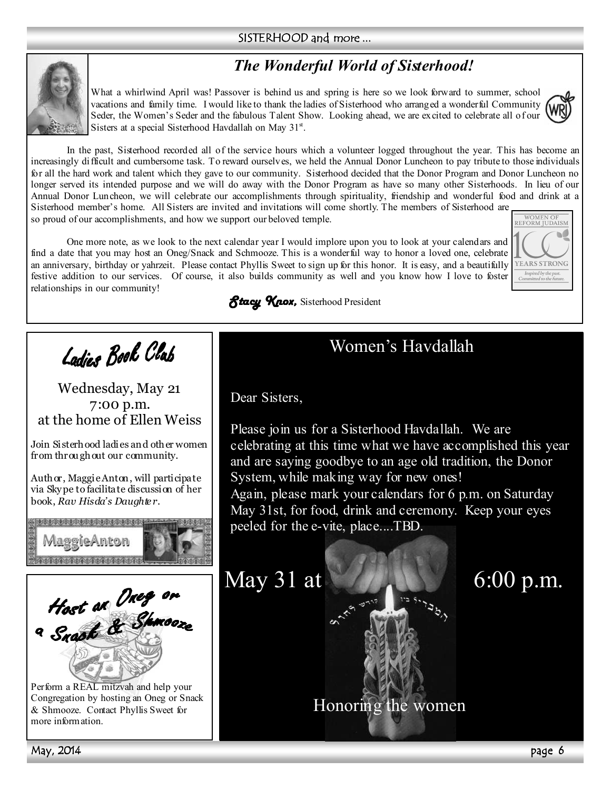## SISTERHOOD and more ...

# *The Wonderful World of Sisterhood!*



What a whirlwind April was! Passover is behind us and spring is here so we look forward to summer, school vacations and family time. I would like to thank the ladies of Sisterhood who arranged a wonderful Community Seder, the Women's Seder and the fabulous Talent Show. Looking ahead, we are excited to celebrate all of our Sisters at a special Sisterhood Havdallah on May 31<sup>st</sup>.

YEARS STRONG Inspired by the pas<br>Committed to the fut

In the past, Sisterhood recorded all of the service hours which a volunteer logged throughout the year. This has become an increasingly difficult and cumbersome task. To reward ourselves, we held the Annual Donor Luncheon to pay tribute to those individuals for all the hard work and talent which they gave to our community. Sisterhood decided that the Donor Program and Donor Luncheon no longer served its intended purpose and we will do away with the Donor Program as have so many other Sisterhoods. In lieu of our Annual Donor Luncheon, we will celebrate our accomplishments through spirituality, friendship and wonderful food and drink at a Sisterhood member's home. All Sisters are invited and invitations will come shortly. The members of Sisterhood are so proud of our accomplishments, and how we support our beloved temple. WOMEN OF<br>REFORM IUDAISM

One more note, as we look to the next calendar year I would implore upon you to look at your calendars and find a date that you may host an Oneg/Snack and Schmooze. This is a wonderful way to honor a loved one, celebrate an anniversary, birthday or yahrzeit. Please contact Phyllis Sweet to sign up for this honor. It is easy, and a beautifully festive addition to our services. Of course, it also builds community as well and you know how I love to foster relationships in our community!



# Ladjes Book Clab

Wednesday, May 21 7:00 p.m. at the home of Ellen Weiss

Join Sisterhood ladies and other women from throughout our community.

Author, Maggie Anton, will participate via Skype to facilitate discussion of her book, *Rav Hisda's Daughte r*.





Perform a REAL mitzvah and help your Congregation by hosting an Oneg or Snack & Shmooze. Contact Phyllis Sweet for more information.

Women's Havdallah

Dear Sisters,

Please join us for a Sisterhood Havdallah. We are celebrating at this time what we have accomplished this year and are saying goodbye to an age old tradition, the Donor System, while making way for new ones!

Again, please mark your calendars for 6 p.m. on Saturday May 31st, for food, drink and ceremony. Keep your eyes peeled for the e-vite, place....TBD.



Honoring the women

May, 2014 page 6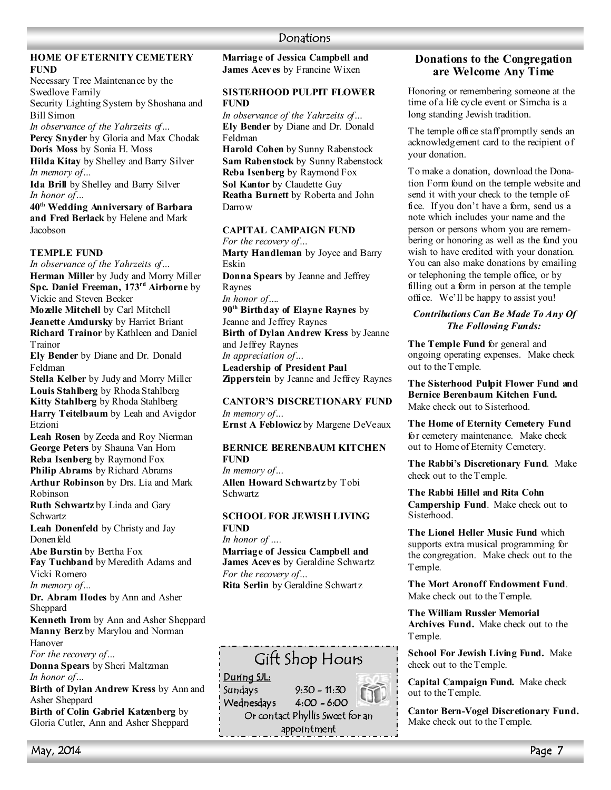## **HOME OF ETERITY CEMETERY FUND**

Necessary Tree Maintenance by the Swedlove Family Security Lighting System by Shoshana and Bill Simon *In observance of the Yahrzeits of…*  **Percy Snyder** by Gloria and Max Chodak **Doris Moss** by Sonia H. Moss **Hilda Kitay** by Shelley and Barry Silver *In memory of…* 

**Ida Brill** by Shelley and Barry Silver *In honor of…* 

**40th Wedding Anniversary of Barbara and Fred Berlack** by Helene and Mark Jacobson

## **TEMPLE FUND**

*In observance of the Yahrzeits of…*  **Herman Miller** by Judy and Morry Miller **Spc. Daniel Freeman, 173rd Airborne** by Vickie and Steven Becker **Mozelle Mitchell** by Carl Mitchell **Jeanette Amdursky** by Harriet Briant **Richard Trainor** by Kathleen and Daniel Trainor

**Ely Bender** by Diane and Dr. Donald Feldman

**Stella Kelber** by Judy and Morry Miller **Louis Stahlberg** by Rhoda Stahlberg **Kitty Stahlberg** by Rhoda Stahlberg **Harry Teitelbaum** by Leah and Avigdor Etzioni

**Leah Rosen** by Zeeda and Roy Nierman **George Peters** by Shauna Van Horn **Reba Isenberg** by Raymond Fox **Philip Abrams** by Richard Abrams **Arthur Robinson** by Drs. Lia and Mark

Robinson

**Ruth Schwartz** by Linda and Gary Schwartz

**Leah Donenfeld** by Christy and Jay Donen feld

**Abe Burstin** by Bertha Fox **Fay Tuchband** by Meredith Adams and

Vicki Romero

*In memory of…* 

**Dr. Abram Hodes** by Ann and Asher Sheppard

**Kenneth Irom** by Ann and Asher Sheppard **Manny Berz** by Marylou and Norman

Hanover

*For the recovery of…* 

**Donna Spears** by Sheri Maltzman *In honor of…* 

**Birth of Dylan Andrew Kress** by Ann and Asher Sheppard

**Birth of Colin Gabriel Katzenberg** by Gloria Cutler, Ann and Asher Sheppard **Marriage of Jessica Campbell and James Aceves** by Francine Wixen

## **SISTERHOOD PULPIT FLOWER FUND**

*In observance of the Yahrzeits of…* **Ely Bender** by Diane and Dr. Donald Feldman **Harold Cohen** by Sunny Rabenstock

**Sam Rabenstock** by Sunny Rabenstock **Reba Isenberg** by Raymond Fox **Sol Kantor** by Claudette Guy **Reatha Burnett** by Roberta and John Darrow

## **CAPITAL CAMPAIGN FUND**

*For the recovery of…*  **Marty Handleman** by Joyce and Barry Eskin **Donna Spears** by Jeanne and Jeffrey Raynes *In honor of….*  **90th Birthday of Elayne Raynes** by Jeanne and Jeffrey Raynes **Birth of Dylan Andrew Kress** by Jeanne and Jeffrey Raynes *In appreciation of…*  **Leadership of President Paul** 

**Zipperstein** by Jeanne and Jeffrey Raynes

#### **CANTOR'S DISCRETIONARY FUND** *In memory of…*

**Ernst A Feblowicz** by Margene DeVeaux

## **BERNICE BERENBAUM KITCHEN FUD**

*In memory of…*  **Allen Howard Schwartz** by Tobi Schwartz

## **SCHOOL FOR JEWISH LIVING FUD**

*In honor of ….*  **Marriage of Jessica Campbell and James Aceves** by Geraldine Schwartz *For the recovery of…*  **Rita Serlin** by Geraldine Schwartz



## **Donations to the Congregation are Welcome Any Time**

Honoring or remembering someone at the time of a life cycle event or Simcha is a long standing Jewish tradition.

The temple office staff promptly sends an acknowledgement card to the recipient of your donation.

To make a donation, download the Donation Form found on the temple website and send it with your check to the temple office. If you don't have a form, send us a note which includes your name and the person or persons whom you are remembering or honoring as well as the fund you wish to have credited with your donation. You can also make donations by emailing or telephoning the temple office, or by filling out a form in person at the temple office. We'll be happy to assist you!

## *Contributions Can Be Made To Any Of The Following Funds:*

**The Temple Fund** for general and ongoing operating expenses. Make check out to the Temple.

**The Sisterhood Pulpit Flower Fund and Bernice Berenbaum Kitchen Fund.**  Make check out to Sisterhood.

**The Home of Eternity Cemetery Fund**  for cemetery maintenance. Make check out to Home of Eternity Cemetery.

**The Rabbi's Discretionary Fund**. Make check out to the Temple.

**The Rabbi Hillel and Rita Cohn Campership Fund**. Make check out to Sisterhood.

**The Lionel Heller Music Fund** which supports extra musical programming for the congregation. Make check out to the Temple.

**The Mort Aronoff Endowment Fund**. Make check out to the Temple.

**The William Russler Memorial Archives Fund.** Make check out to the Temple.

**School For Jewish Living Fund.** Make check out to the Temple.

**Capital Campaign Fund.** Make check out to the Temple.

**Cantor Bern-Vogel Discretionary Fund.**  Make check out to the Temple.